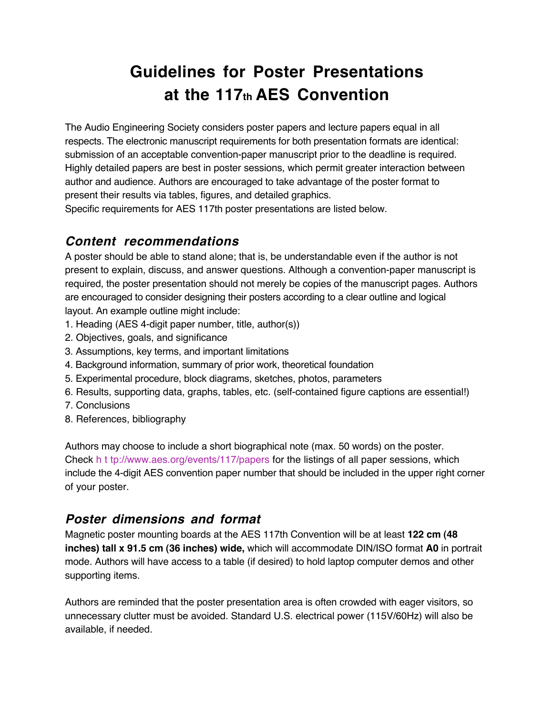## **Guidelines for Poster Presentations at the 117th AES Convention**

The Audio Engineering Society considers poster papers and lecture papers equal in all respects. The electronic manuscript requirements for both presentation formats are identical: submission of an acceptable convention-paper manuscript prior to the deadline is required. Highly detailed papers are best in poster sessions, which permit greater interaction between author and audience. Authors are encouraged to take advantage of the poster format to present their results via tables, figures, and detailed graphics.

Specific requirements for AES 117th poster presentations are listed below.

## **Content recommendations**

A poster should be able to stand alone; that is, be understandable even if the author is not present to explain, discuss, and answer questions. Although a convention-paper manuscript is required, the poster presentation should not merely be copies of the manuscript pages. Authors are encouraged to consider designing their posters according to a clear outline and logical layout. An example outline might include:

- 1. Heading (AES 4-digit paper number, title, author(s))
- 2. Objectives, goals, and significance
- 3. Assumptions, key terms, and important limitations
- 4. Background information, summary of prior work, theoretical foundation
- 5. Experimental procedure, block diagrams, sketches, photos, parameters
- 6. Results, supporting data, graphs, tables, etc. (self-contained figure captions are essential!)
- 7. Conclusions
- 8. References, bibliography

Authors may choose to include a short biographical note (max. 50 words) on the poster. Check h t tp://www.aes.org/events/117/papers for the listings of all paper sessions, which include the 4-digit AES convention paper number that should be included in the upper right corner of your poster.

## **Poster dimensions and format**

Magnetic poster mounting boards at the AES 117th Convention will be at least **122 cm (48 inches) tall x 91.5 cm (36 inches) wide,** which will accommodate DIN/ISO format **A0** in portrait mode. Authors will have access to a table (if desired) to hold laptop computer demos and other supporting items.

Authors are reminded that the poster presentation area is often crowded with eager visitors, so unnecessary clutter must be avoided. Standard U.S. electrical power (115V/60Hz) will also be available, if needed.